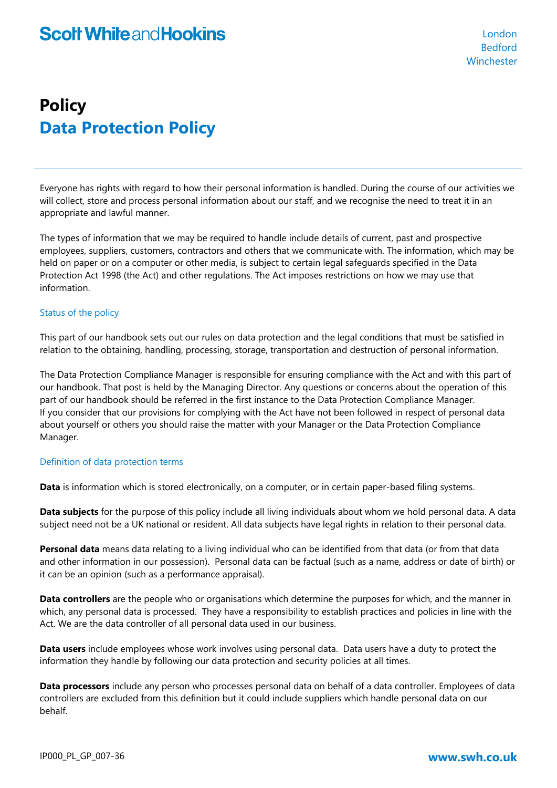## **Policy Data Protection Policy**

Everyone has rights with regard to how their personal information is handled. During the course of our activities we will collect, store and process personal information about our staff, and we recognise the need to treat it in an appropriate and lawful manner.

The types of information that we may be required to handle include details of current, past and prospective employees, suppliers, customers, contractors and others that we communicate with. The information, which may be held on paper or on a computer or other media, is subject to certain legal safeguards specified in the Data Protection Act 1998 (the Act) and other regulations. The Act imposes restrictions on how we may use that information.

### Status of the policy

This part of our handbook sets out our rules on data protection and the legal conditions that must be satisfied in relation to the obtaining, handling, processing, storage, transportation and destruction of personal information.

The Data Protection Compliance Manager is responsible for ensuring compliance with the Act and with this part of our handbook. That post is held by the Managing Director. Any questions or concerns about the operation of this part of our handbook should be referred in the first instance to the Data Protection Compliance Manager. If you consider that our provisions for complying with the Act have not been followed in respect of personal data about yourself or others you should raise the matter with your Manager or the Data Protection Compliance Manager.

### Definition of data protection terms

**Data** is information which is stored electronically, on a computer, or in certain paper-based filing systems.

**Data subjects** for the purpose of this policy include all living individuals about whom we hold personal data. A data subject need not be a UK national or resident. All data subjects have legal rights in relation to their personal data.

**Personal data** means data relating to a living individual who can be identified from that data (or from that data and other information in our possession). Personal data can be factual (such as a name, address or date of birth) or it can be an opinion (such as a performance appraisal).

**Data controllers** are the people who or organisations which determine the purposes for which, and the manner in which, any personal data is processed. They have a responsibility to establish practices and policies in line with the Act. We are the data controller of all personal data used in our business.

**Data users** include employees whose work involves using personal data. Data users have a duty to protect the information they handle by following our data protection and security policies at all times.

**Data processors** include any person who processes personal data on behalf of a data controller. Employees of data controllers are excluded from this definition but it could include suppliers which handle personal data on our behalf.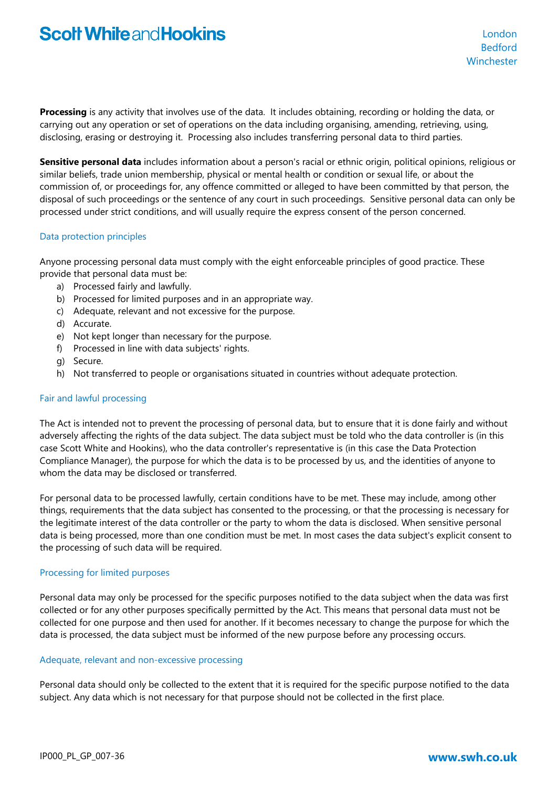**Processing** is any activity that involves use of the data. It includes obtaining, recording or holding the data, or carrying out any operation or set of operations on the data including organising, amending, retrieving, using, disclosing, erasing or destroying it. Processing also includes transferring personal data to third parties.

**Sensitive personal data** includes information about a person's racial or ethnic origin, political opinions, religious or similar beliefs, trade union membership, physical or mental health or condition or sexual life, or about the commission of, or proceedings for, any offence committed or alleged to have been committed by that person, the disposal of such proceedings or the sentence of any court in such proceedings. Sensitive personal data can only be processed under strict conditions, and will usually require the express consent of the person concerned.

### Data protection principles

Anyone processing personal data must comply with the eight enforceable principles of good practice. These provide that personal data must be:

- a) Processed fairly and lawfully.
- b) Processed for limited purposes and in an appropriate way.
- c) Adequate, relevant and not excessive for the purpose.
- d) Accurate.
- e) Not kept longer than necessary for the purpose.
- f) Processed in line with data subjects' rights.
- g) Secure.
- h) Not transferred to people or organisations situated in countries without adequate protection.

#### Fair and lawful processing

The Act is intended not to prevent the processing of personal data, but to ensure that it is done fairly and without adversely affecting the rights of the data subject. The data subject must be told who the data controller is (in this case Scott White and Hookins), who the data controller's representative is (in this case the Data Protection Compliance Manager), the purpose for which the data is to be processed by us, and the identities of anyone to whom the data may be disclosed or transferred.

For personal data to be processed lawfully, certain conditions have to be met. These may include, among other things, requirements that the data subject has consented to the processing, or that the processing is necessary for the legitimate interest of the data controller or the party to whom the data is disclosed. When sensitive personal data is being processed, more than one condition must be met. In most cases the data subject's explicit consent to the processing of such data will be required.

### Processing for limited purposes

Personal data may only be processed for the specific purposes notified to the data subject when the data was first collected or for any other purposes specifically permitted by the Act. This means that personal data must not be collected for one purpose and then used for another. If it becomes necessary to change the purpose for which the data is processed, the data subject must be informed of the new purpose before any processing occurs.

#### Adequate, relevant and non-excessive processing

Personal data should only be collected to the extent that it is required for the specific purpose notified to the data subject. Any data which is not necessary for that purpose should not be collected in the first place.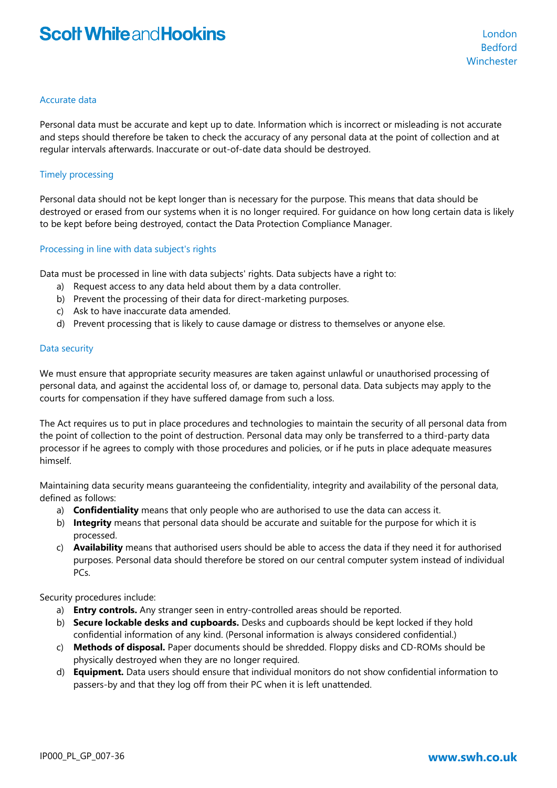### Accurate data

Personal data must be accurate and kept up to date. Information which is incorrect or misleading is not accurate and steps should therefore be taken to check the accuracy of any personal data at the point of collection and at regular intervals afterwards. Inaccurate or out-of-date data should be destroyed.

### Timely processing

Personal data should not be kept longer than is necessary for the purpose. This means that data should be destroyed or erased from our systems when it is no longer required. For guidance on how long certain data is likely to be kept before being destroyed, contact the Data Protection Compliance Manager.

### Processing in line with data subject's rights

Data must be processed in line with data subjects' rights. Data subjects have a right to:

- a) Request access to any data held about them by a data controller.
- b) Prevent the processing of their data for direct-marketing purposes.
- c) Ask to have inaccurate data amended.
- d) Prevent processing that is likely to cause damage or distress to themselves or anyone else.

### Data security

We must ensure that appropriate security measures are taken against unlawful or unauthorised processing of personal data, and against the accidental loss of, or damage to, personal data. Data subjects may apply to the courts for compensation if they have suffered damage from such a loss.

The Act requires us to put in place procedures and technologies to maintain the security of all personal data from the point of collection to the point of destruction. Personal data may only be transferred to a third-party data processor if he agrees to comply with those procedures and policies, or if he puts in place adequate measures himself.

Maintaining data security means guaranteeing the confidentiality, integrity and availability of the personal data, defined as follows:

- a) **Confidentiality** means that only people who are authorised to use the data can access it.
- b) **Integrity** means that personal data should be accurate and suitable for the purpose for which it is processed.
- c) **Availability** means that authorised users should be able to access the data if they need it for authorised purposes. Personal data should therefore be stored on our central computer system instead of individual PCs.

Security procedures include:

- a) **Entry controls.** Any stranger seen in entry-controlled areas should be reported.
- b) **Secure lockable desks and cupboards.** Desks and cupboards should be kept locked if they hold confidential information of any kind. (Personal information is always considered confidential.)
- c) **Methods of disposal.** Paper documents should be shredded. Floppy disks and CD-ROMs should be physically destroyed when they are no longer required.
- d) **Equipment.** Data users should ensure that individual monitors do not show confidential information to passers-by and that they log off from their PC when it is left unattended.